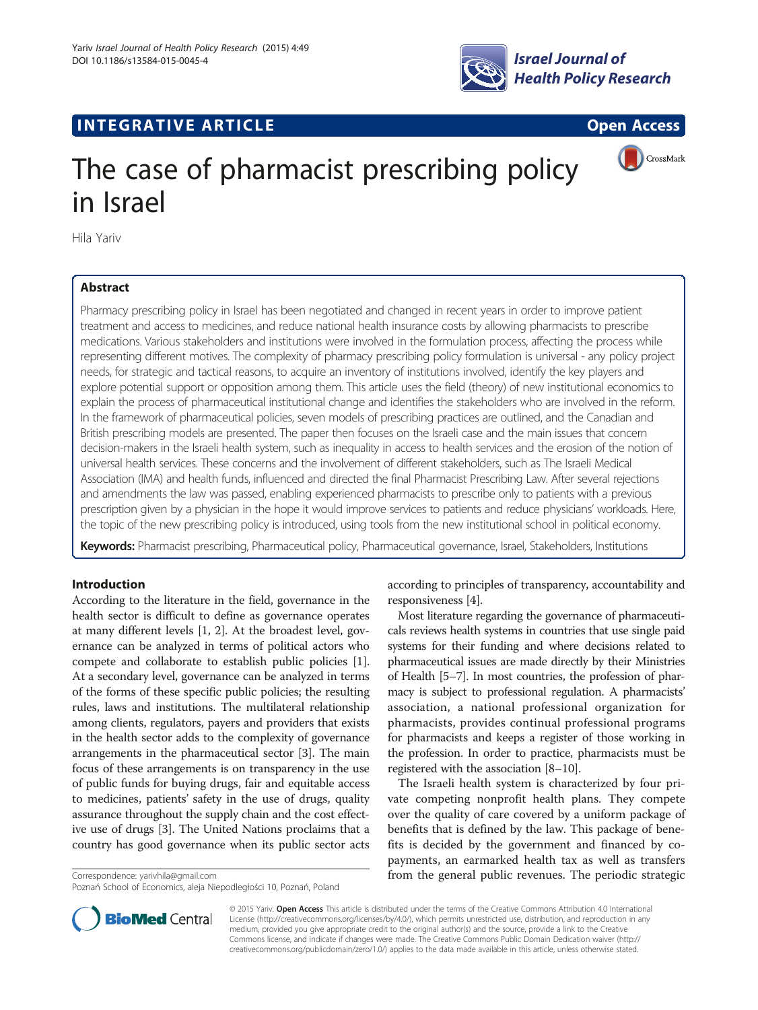

# **INTEGRATIVE ARTICLE Example 2018 Open Access**





# The case of pharmacist prescribing policy in Israel

Hila Yariv

# Abstract

Pharmacy prescribing policy in Israel has been negotiated and changed in recent years in order to improve patient treatment and access to medicines, and reduce national health insurance costs by allowing pharmacists to prescribe medications. Various stakeholders and institutions were involved in the formulation process, affecting the process while representing different motives. The complexity of pharmacy prescribing policy formulation is universal - any policy project needs, for strategic and tactical reasons, to acquire an inventory of institutions involved, identify the key players and explore potential support or opposition among them. This article uses the field (theory) of new institutional economics to explain the process of pharmaceutical institutional change and identifies the stakeholders who are involved in the reform. In the framework of pharmaceutical policies, seven models of prescribing practices are outlined, and the Canadian and British prescribing models are presented. The paper then focuses on the Israeli case and the main issues that concern decision-makers in the Israeli health system, such as inequality in access to health services and the erosion of the notion of universal health services. These concerns and the involvement of different stakeholders, such as The Israeli Medical Association (IMA) and health funds, influenced and directed the final Pharmacist Prescribing Law. After several rejections and amendments the law was passed, enabling experienced pharmacists to prescribe only to patients with a previous prescription given by a physician in the hope it would improve services to patients and reduce physicians' workloads. Here, the topic of the new prescribing policy is introduced, using tools from the new institutional school in political economy.

Keywords: Pharmacist prescribing, Pharmaceutical policy, Pharmaceutical governance, Israel, Stakeholders, Institutions

# Introduction

According to the literature in the field, governance in the health sector is difficult to define as governance operates at many different levels [[1](#page-10-0), [2\]](#page-10-0). At the broadest level, governance can be analyzed in terms of political actors who compete and collaborate to establish public policies [[1](#page-10-0)]. At a secondary level, governance can be analyzed in terms of the forms of these specific public policies; the resulting rules, laws and institutions. The multilateral relationship among clients, regulators, payers and providers that exists in the health sector adds to the complexity of governance arrangements in the pharmaceutical sector [\[3](#page-10-0)]. The main focus of these arrangements is on transparency in the use of public funds for buying drugs, fair and equitable access to medicines, patients' safety in the use of drugs, quality assurance throughout the supply chain and the cost effective use of drugs [\[3](#page-10-0)]. The United Nations proclaims that a country has good governance when its public sector acts



Most literature regarding the governance of pharmaceuticals reviews health systems in countries that use single paid systems for their funding and where decisions related to pharmaceutical issues are made directly by their Ministries of Health [\[5](#page-10-0)–[7](#page-10-0)]. In most countries, the profession of pharmacy is subject to professional regulation. A pharmacists' association, a national professional organization for pharmacists, provides continual professional programs for pharmacists and keeps a register of those working in the profession. In order to practice, pharmacists must be registered with the association [\[8](#page-10-0)–[10](#page-10-0)].

The Israeli health system is characterized by four private competing nonprofit health plans. They compete over the quality of care covered by a uniform package of benefits that is defined by the law. This package of benefits is decided by the government and financed by copayments, an earmarked health tax as well as transfers Correspondence: [yarivhila@gmail.com](mailto:yarivhila@gmail.com) **from the general public revenues. The periodic strategic** 



© 2015 Yariv. Open Access This article is distributed under the terms of the Creative Commons Attribution 4.0 International License ([http://creativecommons.org/licenses/by/4.0/\)](http://creativecommons.org/licenses/by/4.0/), which permits unrestricted use, distribution, and reproduction in any medium, provided you give appropriate credit to the original author(s) and the source, provide a link to the Creative Commons license, and indicate if changes were made. The Creative Commons Public Domain Dedication waiver ([http://](http://creativecommons.org/publicdomain/zero/1.0/) [creativecommons.org/publicdomain/zero/1.0/\)](http://creativecommons.org/publicdomain/zero/1.0/) applies to the data made available in this article, unless otherwise stated.

Poznań School of Economics, aleja Niepodległości 10, Poznań, Poland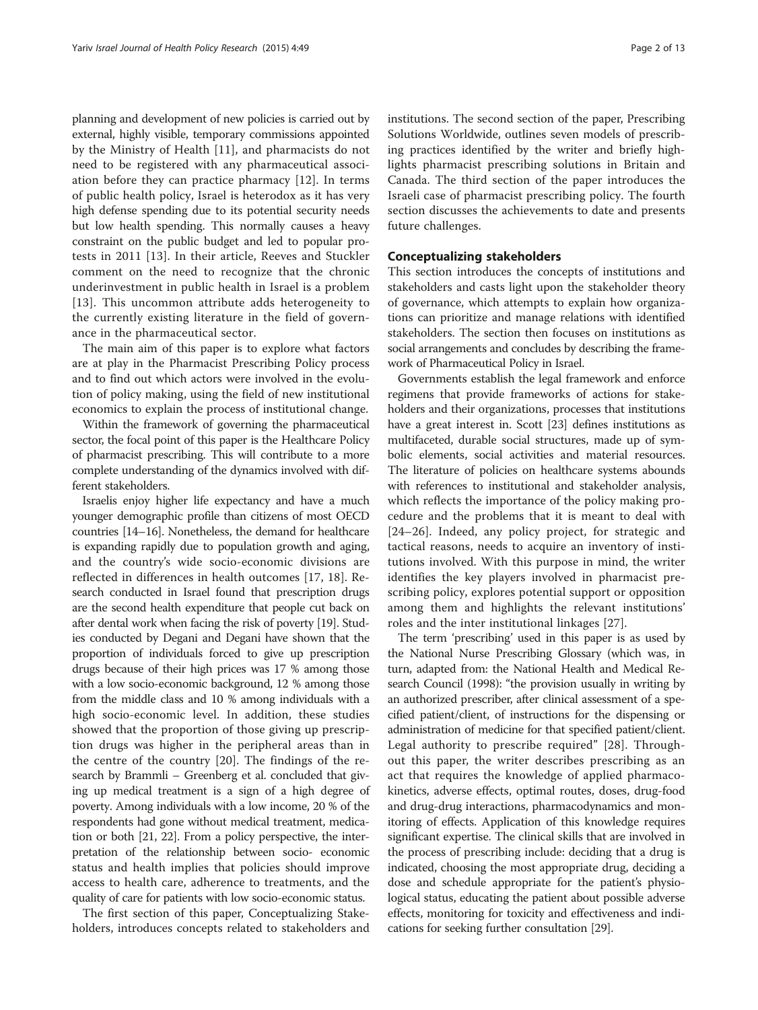planning and development of new policies is carried out by external, highly visible, temporary commissions appointed by the Ministry of Health [[11\]](#page-10-0), and pharmacists do not need to be registered with any pharmaceutical association before they can practice pharmacy [\[12](#page-10-0)]. In terms of public health policy, Israel is heterodox as it has very high defense spending due to its potential security needs but low health spending. This normally causes a heavy constraint on the public budget and led to popular protests in 2011 [[13](#page-10-0)]. In their article, Reeves and Stuckler comment on the need to recognize that the chronic underinvestment in public health in Israel is a problem [[13](#page-10-0)]. This uncommon attribute adds heterogeneity to the currently existing literature in the field of governance in the pharmaceutical sector.

The main aim of this paper is to explore what factors are at play in the Pharmacist Prescribing Policy process and to find out which actors were involved in the evolution of policy making, using the field of new institutional economics to explain the process of institutional change.

Within the framework of governing the pharmaceutical sector, the focal point of this paper is the Healthcare Policy of pharmacist prescribing. This will contribute to a more complete understanding of the dynamics involved with different stakeholders.

Israelis enjoy higher life expectancy and have a much younger demographic profile than citizens of most OECD countries [\[14](#page-10-0)–[16\]](#page-10-0). Nonetheless, the demand for healthcare is expanding rapidly due to population growth and aging, and the country's wide socio-economic divisions are reflected in differences in health outcomes [\[17](#page-11-0), [18\]](#page-11-0). Research conducted in Israel found that prescription drugs are the second health expenditure that people cut back on after dental work when facing the risk of poverty [\[19\]](#page-11-0). Studies conducted by Degani and Degani have shown that the proportion of individuals forced to give up prescription drugs because of their high prices was 17 % among those with a low socio-economic background, 12 % among those from the middle class and 10 % among individuals with a high socio-economic level. In addition, these studies showed that the proportion of those giving up prescription drugs was higher in the peripheral areas than in the centre of the country [[20](#page-11-0)]. The findings of the research by Brammli – Greenberg et al. concluded that giving up medical treatment is a sign of a high degree of poverty. Among individuals with a low income, 20 % of the respondents had gone without medical treatment, medication or both [[21](#page-11-0), [22](#page-11-0)]. From a policy perspective, the interpretation of the relationship between socio- economic status and health implies that policies should improve access to health care, adherence to treatments, and the quality of care for patients with low socio-economic status.

The first section of this paper, Conceptualizing Stakeholders, introduces concepts related to stakeholders and institutions. The second section of the paper, Prescribing Solutions Worldwide, outlines seven models of prescribing practices identified by the writer and briefly highlights pharmacist prescribing solutions in Britain and Canada. The third section of the paper introduces the Israeli case of pharmacist prescribing policy. The fourth section discusses the achievements to date and presents future challenges.

# Conceptualizing stakeholders

This section introduces the concepts of institutions and stakeholders and casts light upon the stakeholder theory of governance, which attempts to explain how organizations can prioritize and manage relations with identified stakeholders. The section then focuses on institutions as social arrangements and concludes by describing the framework of Pharmaceutical Policy in Israel.

Governments establish the legal framework and enforce regimens that provide frameworks of actions for stakeholders and their organizations, processes that institutions have a great interest in. Scott [\[23\]](#page-11-0) defines institutions as multifaceted, durable social structures, made up of symbolic elements, social activities and material resources. The literature of policies on healthcare systems abounds with references to institutional and stakeholder analysis, which reflects the importance of the policy making procedure and the problems that it is meant to deal with [[24](#page-11-0)–[26](#page-11-0)]. Indeed, any policy project, for strategic and tactical reasons, needs to acquire an inventory of institutions involved. With this purpose in mind, the writer identifies the key players involved in pharmacist prescribing policy, explores potential support or opposition among them and highlights the relevant institutions' roles and the inter institutional linkages [[27\]](#page-11-0).

The term 'prescribing' used in this paper is as used by the National Nurse Prescribing Glossary (which was, in turn, adapted from: the National Health and Medical Research Council (1998): "the provision usually in writing by an authorized prescriber, after clinical assessment of a specified patient/client, of instructions for the dispensing or administration of medicine for that specified patient/client. Legal authority to prescribe required" [[28\]](#page-11-0). Throughout this paper, the writer describes prescribing as an act that requires the knowledge of applied pharmacokinetics, adverse effects, optimal routes, doses, drug-food and drug-drug interactions, pharmacodynamics and monitoring of effects. Application of this knowledge requires significant expertise. The clinical skills that are involved in the process of prescribing include: deciding that a drug is indicated, choosing the most appropriate drug, deciding a dose and schedule appropriate for the patient's physiological status, educating the patient about possible adverse effects, monitoring for toxicity and effectiveness and indications for seeking further consultation [\[29](#page-11-0)].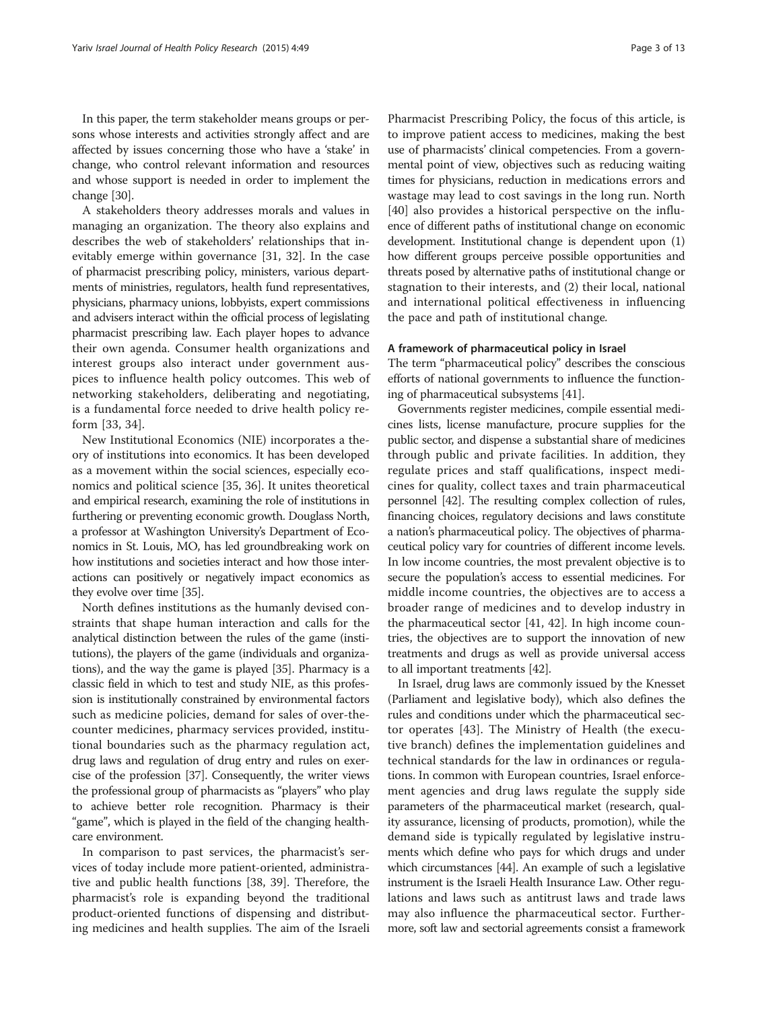In this paper, the term stakeholder means groups or persons whose interests and activities strongly affect and are affected by issues concerning those who have a 'stake' in change, who control relevant information and resources and whose support is needed in order to implement the change [[30](#page-11-0)].

A stakeholders theory addresses morals and values in managing an organization. The theory also explains and describes the web of stakeholders' relationships that inevitably emerge within governance [[31, 32\]](#page-11-0). In the case of pharmacist prescribing policy, ministers, various departments of ministries, regulators, health fund representatives, physicians, pharmacy unions, lobbyists, expert commissions and advisers interact within the official process of legislating pharmacist prescribing law. Each player hopes to advance their own agenda. Consumer health organizations and interest groups also interact under government auspices to influence health policy outcomes. This web of networking stakeholders, deliberating and negotiating, is a fundamental force needed to drive health policy reform [\[33](#page-11-0), [34](#page-11-0)].

New Institutional Economics (NIE) incorporates a theory of institutions into economics. It has been developed as a movement within the social sciences, especially economics and political science [[35, 36](#page-11-0)]. It unites theoretical and empirical research, examining the role of institutions in furthering or preventing economic growth. Douglass North, a professor at Washington University's Department of Economics in St. Louis, MO, has led groundbreaking work on how institutions and societies interact and how those interactions can positively or negatively impact economics as they evolve over time [[35](#page-11-0)].

North defines institutions as the humanly devised constraints that shape human interaction and calls for the analytical distinction between the rules of the game (institutions), the players of the game (individuals and organizations), and the way the game is played [[35](#page-11-0)]. Pharmacy is a classic field in which to test and study NIE, as this profession is institutionally constrained by environmental factors such as medicine policies, demand for sales of over-thecounter medicines, pharmacy services provided, institutional boundaries such as the pharmacy regulation act, drug laws and regulation of drug entry and rules on exercise of the profession [[37](#page-11-0)]. Consequently, the writer views the professional group of pharmacists as "players" who play to achieve better role recognition. Pharmacy is their "game", which is played in the field of the changing healthcare environment.

In comparison to past services, the pharmacist's services of today include more patient-oriented, administrative and public health functions [[38, 39](#page-11-0)]. Therefore, the pharmacist's role is expanding beyond the traditional product-oriented functions of dispensing and distributing medicines and health supplies. The aim of the Israeli

Pharmacist Prescribing Policy, the focus of this article, is to improve patient access to medicines, making the best use of pharmacists' clinical competencies. From a governmental point of view, objectives such as reducing waiting times for physicians, reduction in medications errors and wastage may lead to cost savings in the long run. North [[40\]](#page-11-0) also provides a historical perspective on the influence of different paths of institutional change on economic development. Institutional change is dependent upon (1) how different groups perceive possible opportunities and threats posed by alternative paths of institutional change or stagnation to their interests, and (2) their local, national and international political effectiveness in influencing the pace and path of institutional change.

#### A framework of pharmaceutical policy in Israel

The term "pharmaceutical policy" describes the conscious efforts of national governments to influence the functioning of pharmaceutical subsystems [[41](#page-11-0)].

Governments register medicines, compile essential medicines lists, license manufacture, procure supplies for the public sector, and dispense a substantial share of medicines through public and private facilities. In addition, they regulate prices and staff qualifications, inspect medicines for quality, collect taxes and train pharmaceutical personnel [\[42\]](#page-11-0). The resulting complex collection of rules, financing choices, regulatory decisions and laws constitute a nation's pharmaceutical policy. The objectives of pharmaceutical policy vary for countries of different income levels. In low income countries, the most prevalent objective is to secure the population's access to essential medicines. For middle income countries, the objectives are to access a broader range of medicines and to develop industry in the pharmaceutical sector [[41](#page-11-0), [42\]](#page-11-0). In high income countries, the objectives are to support the innovation of new treatments and drugs as well as provide universal access to all important treatments [[42](#page-11-0)].

In Israel, drug laws are commonly issued by the Knesset (Parliament and legislative body), which also defines the rules and conditions under which the pharmaceutical sector operates [\[43](#page-11-0)]. The Ministry of Health (the executive branch) defines the implementation guidelines and technical standards for the law in ordinances or regulations. In common with European countries, Israel enforcement agencies and drug laws regulate the supply side parameters of the pharmaceutical market (research, quality assurance, licensing of products, promotion), while the demand side is typically regulated by legislative instruments which define who pays for which drugs and under which circumstances [\[44](#page-11-0)]. An example of such a legislative instrument is the Israeli Health Insurance Law. Other regulations and laws such as antitrust laws and trade laws may also influence the pharmaceutical sector. Furthermore, soft law and sectorial agreements consist a framework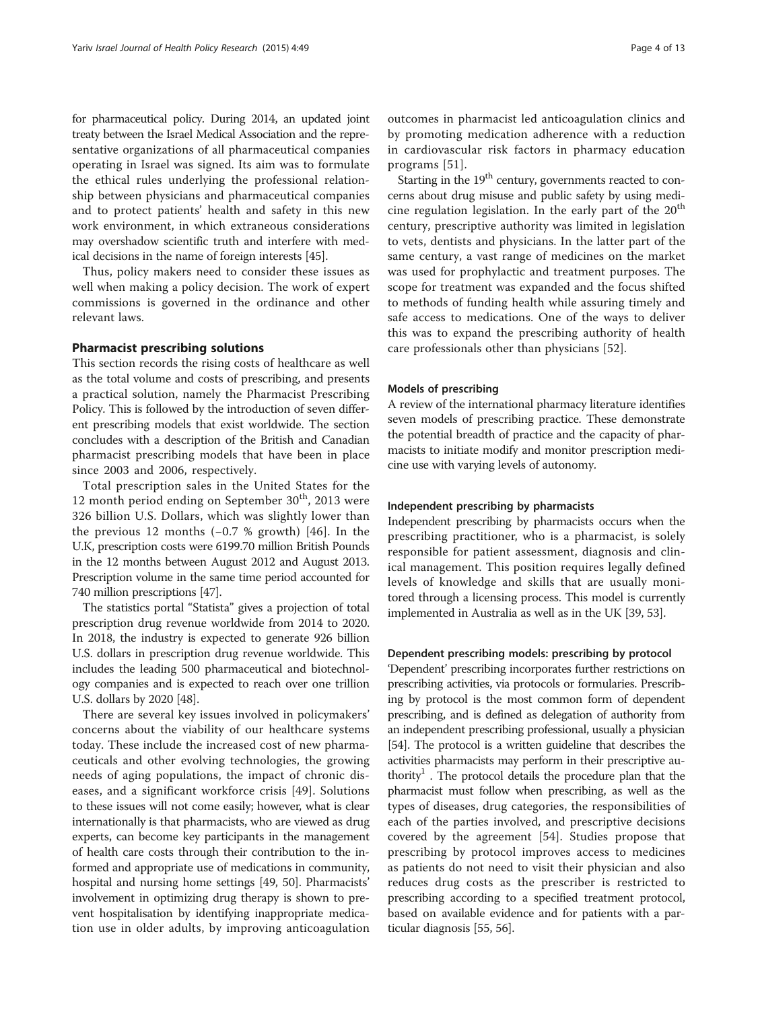for pharmaceutical policy. During 2014, an updated joint treaty between the Israel Medical Association and the representative organizations of all pharmaceutical companies operating in Israel was signed. Its aim was to formulate the ethical rules underlying the professional relationship between physicians and pharmaceutical companies and to protect patients' health and safety in this new work environment, in which extraneous considerations may overshadow scientific truth and interfere with medical decisions in the name of foreign interests [\[45\]](#page-11-0).

Thus, policy makers need to consider these issues as well when making a policy decision. The work of expert commissions is governed in the ordinance and other relevant laws.

# Pharmacist prescribing solutions

This section records the rising costs of healthcare as well as the total volume and costs of prescribing, and presents a practical solution, namely the Pharmacist Prescribing Policy. This is followed by the introduction of seven different prescribing models that exist worldwide. The section concludes with a description of the British and Canadian pharmacist prescribing models that have been in place since 2003 and 2006, respectively.

Total prescription sales in the United States for the 12 month period ending on September  $30<sup>th</sup>$ , 2013 were 326 billion U.S. Dollars, which was slightly lower than the previous 12 months (−0.7 % growth) [[46](#page-11-0)]. In the U.K, prescription costs were 6199.70 million British Pounds in the 12 months between August 2012 and August 2013. Prescription volume in the same time period accounted for 740 million prescriptions [\[47](#page-11-0)].

The statistics portal "Statista" gives a projection of total prescription drug revenue worldwide from 2014 to 2020. In 2018, the industry is expected to generate 926 billion U.S. dollars in prescription drug revenue worldwide. This includes the leading 500 pharmaceutical and biotechnology companies and is expected to reach over one trillion U.S. dollars by 2020 [[48](#page-11-0)].

There are several key issues involved in policymakers' concerns about the viability of our healthcare systems today. These include the increased cost of new pharmaceuticals and other evolving technologies, the growing needs of aging populations, the impact of chronic diseases, and a significant workforce crisis [\[49](#page-11-0)]. Solutions to these issues will not come easily; however, what is clear internationally is that pharmacists, who are viewed as drug experts, can become key participants in the management of health care costs through their contribution to the informed and appropriate use of medications in community, hospital and nursing home settings [[49](#page-11-0), [50\]](#page-11-0). Pharmacists' involvement in optimizing drug therapy is shown to prevent hospitalisation by identifying inappropriate medication use in older adults, by improving anticoagulation

outcomes in pharmacist led anticoagulation clinics and by promoting medication adherence with a reduction in cardiovascular risk factors in pharmacy education programs [\[51](#page-11-0)].

Starting in the  $19<sup>th</sup>$  century, governments reacted to concerns about drug misuse and public safety by using medicine regulation legislation. In the early part of the  $20<sup>th</sup>$ century, prescriptive authority was limited in legislation to vets, dentists and physicians. In the latter part of the same century, a vast range of medicines on the market was used for prophylactic and treatment purposes. The scope for treatment was expanded and the focus shifted to methods of funding health while assuring timely and safe access to medications. One of the ways to deliver this was to expand the prescribing authority of health care professionals other than physicians [\[52](#page-11-0)].

#### Models of prescribing

A review of the international pharmacy literature identifies seven models of prescribing practice. These demonstrate the potential breadth of practice and the capacity of pharmacists to initiate modify and monitor prescription medicine use with varying levels of autonomy.

# Independent prescribing by pharmacists

Independent prescribing by pharmacists occurs when the prescribing practitioner, who is a pharmacist, is solely responsible for patient assessment, diagnosis and clinical management. This position requires legally defined levels of knowledge and skills that are usually monitored through a licensing process. This model is currently implemented in Australia as well as in the UK [\[39, 53](#page-11-0)].

# Dependent prescribing models: prescribing by protocol

'Dependent' prescribing incorporates further restrictions on prescribing activities, via protocols or formularies. Prescribing by protocol is the most common form of dependent prescribing, and is defined as delegation of authority from an independent prescribing professional, usually a physician [[54](#page-11-0)]. The protocol is a written guideline that describes the activities pharmacists may perform in their prescriptive authority<sup>1</sup>. The protocol details the procedure plan that the pharmacist must follow when prescribing, as well as the types of diseases, drug categories, the responsibilities of each of the parties involved, and prescriptive decisions covered by the agreement [[54\]](#page-11-0). Studies propose that prescribing by protocol improves access to medicines as patients do not need to visit their physician and also reduces drug costs as the prescriber is restricted to prescribing according to a specified treatment protocol, based on available evidence and for patients with a particular diagnosis [\[55, 56](#page-11-0)].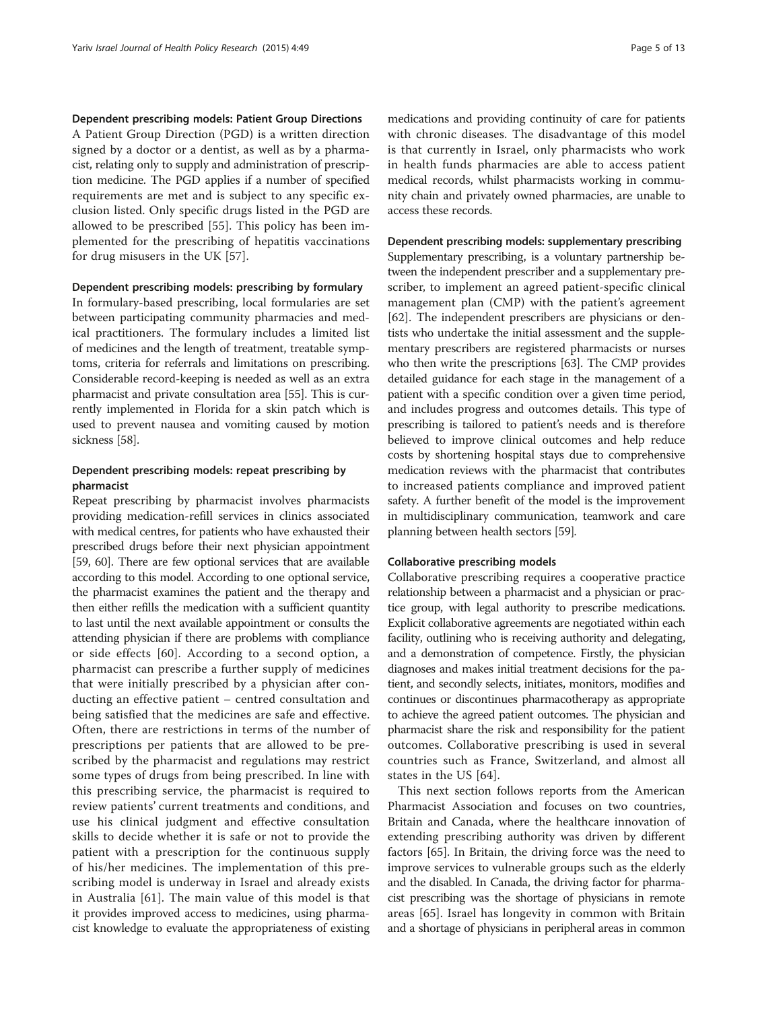#### Dependent prescribing models: Patient Group Directions

A Patient Group Direction (PGD) is a written direction signed by a doctor or a dentist, as well as by a pharmacist, relating only to supply and administration of prescription medicine. The PGD applies if a number of specified requirements are met and is subject to any specific exclusion listed. Only specific drugs listed in the PGD are allowed to be prescribed [[55\]](#page-11-0). This policy has been implemented for the prescribing of hepatitis vaccinations for drug misusers in the UK [\[57](#page-11-0)].

#### Dependent prescribing models: prescribing by formulary

In formulary-based prescribing, local formularies are set between participating community pharmacies and medical practitioners. The formulary includes a limited list of medicines and the length of treatment, treatable symptoms, criteria for referrals and limitations on prescribing. Considerable record-keeping is needed as well as an extra pharmacist and private consultation area [[55](#page-11-0)]. This is currently implemented in Florida for a skin patch which is used to prevent nausea and vomiting caused by motion sickness [[58](#page-11-0)].

# Dependent prescribing models: repeat prescribing by pharmacist

Repeat prescribing by pharmacist involves pharmacists providing medication-refill services in clinics associated with medical centres, for patients who have exhausted their prescribed drugs before their next physician appointment [[59](#page-11-0), [60](#page-11-0)]. There are few optional services that are available according to this model. According to one optional service, the pharmacist examines the patient and the therapy and then either refills the medication with a sufficient quantity to last until the next available appointment or consults the attending physician if there are problems with compliance or side effects [[60\]](#page-11-0). According to a second option, a pharmacist can prescribe a further supply of medicines that were initially prescribed by a physician after conducting an effective patient – centred consultation and being satisfied that the medicines are safe and effective. Often, there are restrictions in terms of the number of prescriptions per patients that are allowed to be prescribed by the pharmacist and regulations may restrict some types of drugs from being prescribed. In line with this prescribing service, the pharmacist is required to review patients' current treatments and conditions, and use his clinical judgment and effective consultation skills to decide whether it is safe or not to provide the patient with a prescription for the continuous supply of his/her medicines. The implementation of this prescribing model is underway in Israel and already exists in Australia [[61\]](#page-11-0). The main value of this model is that it provides improved access to medicines, using pharmacist knowledge to evaluate the appropriateness of existing

medications and providing continuity of care for patients with chronic diseases. The disadvantage of this model is that currently in Israel, only pharmacists who work in health funds pharmacies are able to access patient medical records, whilst pharmacists working in community chain and privately owned pharmacies, are unable to access these records.

#### Dependent prescribing models: supplementary prescribing

Supplementary prescribing, is a voluntary partnership between the independent prescriber and a supplementary prescriber, to implement an agreed patient-specific clinical management plan (CMP) with the patient's agreement [[62\]](#page-11-0). The independent prescribers are physicians or dentists who undertake the initial assessment and the supplementary prescribers are registered pharmacists or nurses who then write the prescriptions [\[63](#page-11-0)]. The CMP provides detailed guidance for each stage in the management of a patient with a specific condition over a given time period, and includes progress and outcomes details. This type of prescribing is tailored to patient's needs and is therefore believed to improve clinical outcomes and help reduce costs by shortening hospital stays due to comprehensive medication reviews with the pharmacist that contributes to increased patients compliance and improved patient safety. A further benefit of the model is the improvement in multidisciplinary communication, teamwork and care planning between health sectors [[59](#page-11-0)].

#### Collaborative prescribing models

Collaborative prescribing requires a cooperative practice relationship between a pharmacist and a physician or practice group, with legal authority to prescribe medications. Explicit collaborative agreements are negotiated within each facility, outlining who is receiving authority and delegating, and a demonstration of competence. Firstly, the physician diagnoses and makes initial treatment decisions for the patient, and secondly selects, initiates, monitors, modifies and continues or discontinues pharmacotherapy as appropriate to achieve the agreed patient outcomes. The physician and pharmacist share the risk and responsibility for the patient outcomes. Collaborative prescribing is used in several countries such as France, Switzerland, and almost all states in the US [\[64\]](#page-11-0).

This next section follows reports from the American Pharmacist Association and focuses on two countries, Britain and Canada, where the healthcare innovation of extending prescribing authority was driven by different factors [[65](#page-11-0)]. In Britain, the driving force was the need to improve services to vulnerable groups such as the elderly and the disabled. In Canada, the driving factor for pharmacist prescribing was the shortage of physicians in remote areas [[65\]](#page-11-0). Israel has longevity in common with Britain and a shortage of physicians in peripheral areas in common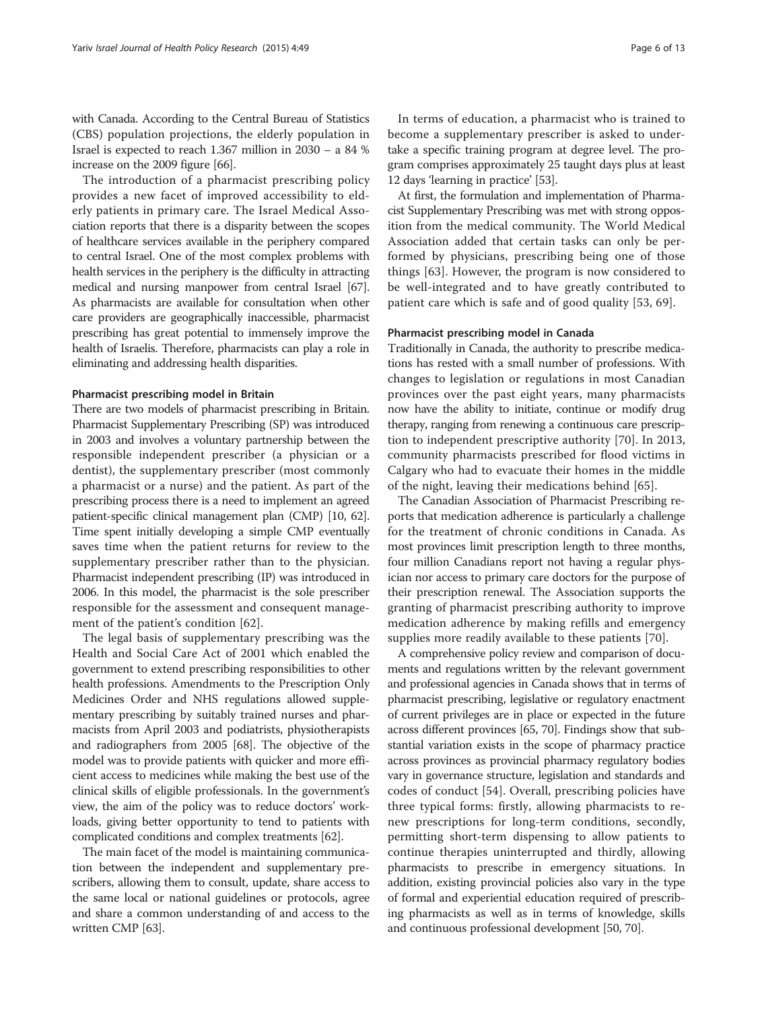with Canada. According to the Central Bureau of Statistics (CBS) population projections, the elderly population in Israel is expected to reach 1.367 million in 2030 – a 84 % increase on the 2009 figure [[66](#page-11-0)].

The introduction of a pharmacist prescribing policy provides a new facet of improved accessibility to elderly patients in primary care. The Israel Medical Association reports that there is a disparity between the scopes of healthcare services available in the periphery compared to central Israel. One of the most complex problems with health services in the periphery is the difficulty in attracting medical and nursing manpower from central Israel [[67](#page-11-0)]. As pharmacists are available for consultation when other care providers are geographically inaccessible, pharmacist prescribing has great potential to immensely improve the health of Israelis. Therefore, pharmacists can play a role in eliminating and addressing health disparities.

## Pharmacist prescribing model in Britain

There are two models of pharmacist prescribing in Britain. Pharmacist Supplementary Prescribing (SP) was introduced in 2003 and involves a voluntary partnership between the responsible independent prescriber (a physician or a dentist), the supplementary prescriber (most commonly a pharmacist or a nurse) and the patient. As part of the prescribing process there is a need to implement an agreed patient-specific clinical management plan (CMP) [[10](#page-10-0), [62](#page-11-0)]. Time spent initially developing a simple CMP eventually saves time when the patient returns for review to the supplementary prescriber rather than to the physician. Pharmacist independent prescribing (IP) was introduced in 2006. In this model, the pharmacist is the sole prescriber responsible for the assessment and consequent management of the patient's condition [[62](#page-11-0)].

The legal basis of supplementary prescribing was the Health and Social Care Act of 2001 which enabled the government to extend prescribing responsibilities to other health professions. Amendments to the Prescription Only Medicines Order and NHS regulations allowed supplementary prescribing by suitably trained nurses and pharmacists from April 2003 and podiatrists, physiotherapists and radiographers from 2005 [\[68\]](#page-12-0). The objective of the model was to provide patients with quicker and more efficient access to medicines while making the best use of the clinical skills of eligible professionals. In the government's view, the aim of the policy was to reduce doctors' workloads, giving better opportunity to tend to patients with complicated conditions and complex treatments [\[62\]](#page-11-0).

The main facet of the model is maintaining communication between the independent and supplementary prescribers, allowing them to consult, update, share access to the same local or national guidelines or protocols, agree and share a common understanding of and access to the written CMP [[63](#page-11-0)].

In terms of education, a pharmacist who is trained to become a supplementary prescriber is asked to undertake a specific training program at degree level. The program comprises approximately 25 taught days plus at least 12 days 'learning in practice' [\[53](#page-11-0)].

At first, the formulation and implementation of Pharmacist Supplementary Prescribing was met with strong opposition from the medical community. The World Medical Association added that certain tasks can only be performed by physicians, prescribing being one of those things [[63\]](#page-11-0). However, the program is now considered to be well-integrated and to have greatly contributed to patient care which is safe and of good quality [\[53](#page-11-0), [69\]](#page-12-0).

#### Pharmacist prescribing model in Canada

Traditionally in Canada, the authority to prescribe medications has rested with a small number of professions. With changes to legislation or regulations in most Canadian provinces over the past eight years, many pharmacists now have the ability to initiate, continue or modify drug therapy, ranging from renewing a continuous care prescription to independent prescriptive authority [\[70](#page-12-0)]. In 2013, community pharmacists prescribed for flood victims in Calgary who had to evacuate their homes in the middle of the night, leaving their medications behind [\[65](#page-11-0)].

The Canadian Association of Pharmacist Prescribing reports that medication adherence is particularly a challenge for the treatment of chronic conditions in Canada. As most provinces limit prescription length to three months, four million Canadians report not having a regular physician nor access to primary care doctors for the purpose of their prescription renewal. The Association supports the granting of pharmacist prescribing authority to improve medication adherence by making refills and emergency supplies more readily available to these patients [\[70](#page-12-0)].

A comprehensive policy review and comparison of documents and regulations written by the relevant government and professional agencies in Canada shows that in terms of pharmacist prescribing, legislative or regulatory enactment of current privileges are in place or expected in the future across different provinces [\[65,](#page-11-0) [70](#page-12-0)]. Findings show that substantial variation exists in the scope of pharmacy practice across provinces as provincial pharmacy regulatory bodies vary in governance structure, legislation and standards and codes of conduct [[54](#page-11-0)]. Overall, prescribing policies have three typical forms: firstly, allowing pharmacists to renew prescriptions for long-term conditions, secondly, permitting short-term dispensing to allow patients to continue therapies uninterrupted and thirdly, allowing pharmacists to prescribe in emergency situations. In addition, existing provincial policies also vary in the type of formal and experiential education required of prescribing pharmacists as well as in terms of knowledge, skills and continuous professional development [\[50,](#page-11-0) [70\]](#page-12-0).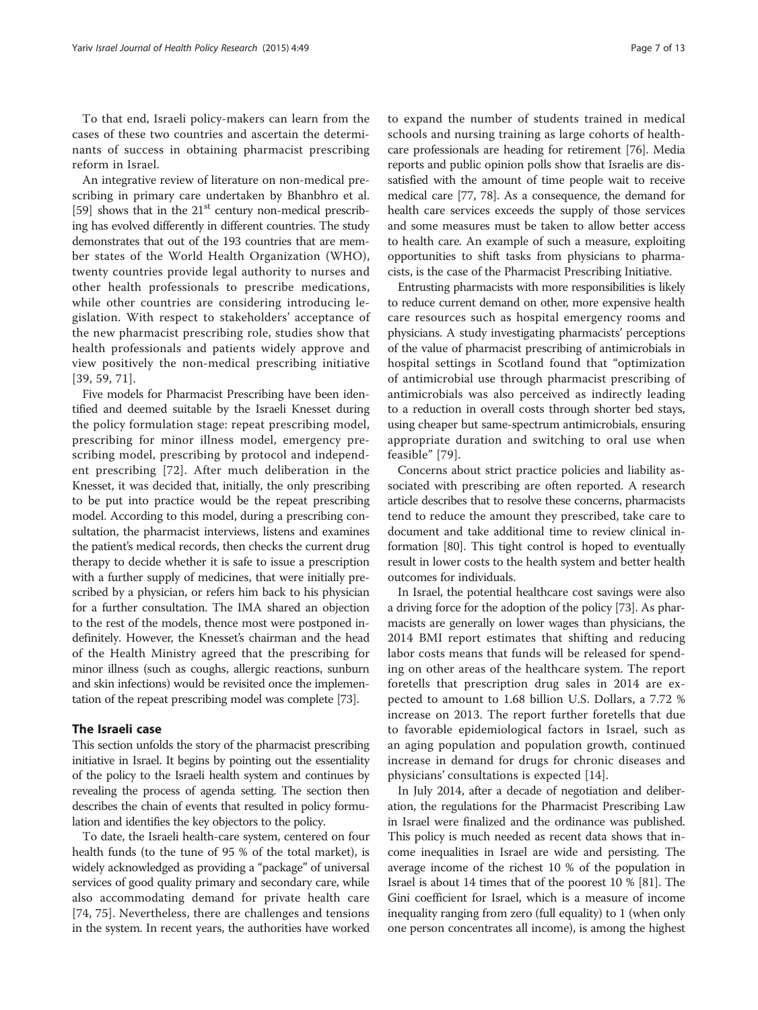To that end, Israeli policy-makers can learn from the cases of these two countries and ascertain the determinants of success in obtaining pharmacist prescribing reform in Israel.

An integrative review of literature on non-medical prescribing in primary care undertaken by Bhanbhro et al. [[59\]](#page-11-0) shows that in the  $21<sup>st</sup>$  century non-medical prescribing has evolved differently in different countries. The study demonstrates that out of the 193 countries that are member states of the World Health Organization (WHO), twenty countries provide legal authority to nurses and other health professionals to prescribe medications, while other countries are considering introducing legislation. With respect to stakeholders' acceptance of the new pharmacist prescribing role, studies show that health professionals and patients widely approve and view positively the non-medical prescribing initiative [[39](#page-11-0), [59,](#page-11-0) [71](#page-12-0)].

Five models for Pharmacist Prescribing have been identified and deemed suitable by the Israeli Knesset during the policy formulation stage: repeat prescribing model, prescribing for minor illness model, emergency prescribing model, prescribing by protocol and independent prescribing [[72](#page-12-0)]. After much deliberation in the Knesset, it was decided that, initially, the only prescribing to be put into practice would be the repeat prescribing model. According to this model, during a prescribing consultation, the pharmacist interviews, listens and examines the patient's medical records, then checks the current drug therapy to decide whether it is safe to issue a prescription with a further supply of medicines, that were initially prescribed by a physician, or refers him back to his physician for a further consultation. The IMA shared an objection to the rest of the models, thence most were postponed indefinitely. However, the Knesset's chairman and the head of the Health Ministry agreed that the prescribing for minor illness (such as coughs, allergic reactions, sunburn and skin infections) would be revisited once the implementation of the repeat prescribing model was complete [[73](#page-12-0)].

# The Israeli case

This section unfolds the story of the pharmacist prescribing initiative in Israel. It begins by pointing out the essentiality of the policy to the Israeli health system and continues by revealing the process of agenda setting. The section then describes the chain of events that resulted in policy formulation and identifies the key objectors to the policy.

To date, the Israeli health-care system, centered on four health funds (to the tune of 95 % of the total market), is widely acknowledged as providing a "package" of universal services of good quality primary and secondary care, while also accommodating demand for private health care [[74, 75](#page-12-0)]. Nevertheless, there are challenges and tensions in the system. In recent years, the authorities have worked

to expand the number of students trained in medical schools and nursing training as large cohorts of healthcare professionals are heading for retirement [[76\]](#page-12-0). Media reports and public opinion polls show that Israelis are dissatisfied with the amount of time people wait to receive medical care [\[77](#page-12-0), [78](#page-12-0)]. As a consequence, the demand for health care services exceeds the supply of those services and some measures must be taken to allow better access to health care. An example of such a measure, exploiting opportunities to shift tasks from physicians to pharmacists, is the case of the Pharmacist Prescribing Initiative.

Entrusting pharmacists with more responsibilities is likely to reduce current demand on other, more expensive health care resources such as hospital emergency rooms and physicians. A study investigating pharmacists' perceptions of the value of pharmacist prescribing of antimicrobials in hospital settings in Scotland found that "optimization of antimicrobial use through pharmacist prescribing of antimicrobials was also perceived as indirectly leading to a reduction in overall costs through shorter bed stays, using cheaper but same-spectrum antimicrobials, ensuring appropriate duration and switching to oral use when feasible" [[79\]](#page-12-0).

Concerns about strict practice policies and liability associated with prescribing are often reported. A research article describes that to resolve these concerns, pharmacists tend to reduce the amount they prescribed, take care to document and take additional time to review clinical information [\[80](#page-12-0)]. This tight control is hoped to eventually result in lower costs to the health system and better health outcomes for individuals.

In Israel, the potential healthcare cost savings were also a driving force for the adoption of the policy [\[73](#page-12-0)]. As pharmacists are generally on lower wages than physicians, the 2014 BMI report estimates that shifting and reducing labor costs means that funds will be released for spending on other areas of the healthcare system. The report foretells that prescription drug sales in 2014 are expected to amount to 1.68 billion U.S. Dollars, a 7.72 % increase on 2013. The report further foretells that due to favorable epidemiological factors in Israel, such as an aging population and population growth, continued increase in demand for drugs for chronic diseases and physicians' consultations is expected [[14\]](#page-10-0).

In July 2014, after a decade of negotiation and deliberation, the regulations for the Pharmacist Prescribing Law in Israel were finalized and the ordinance was published. This policy is much needed as recent data shows that income inequalities in Israel are wide and persisting. The average income of the richest 10 % of the population in Israel is about 14 times that of the poorest 10 % [[81](#page-12-0)]. The Gini coefficient for Israel, which is a measure of income inequality ranging from zero (full equality) to 1 (when only one person concentrates all income), is among the highest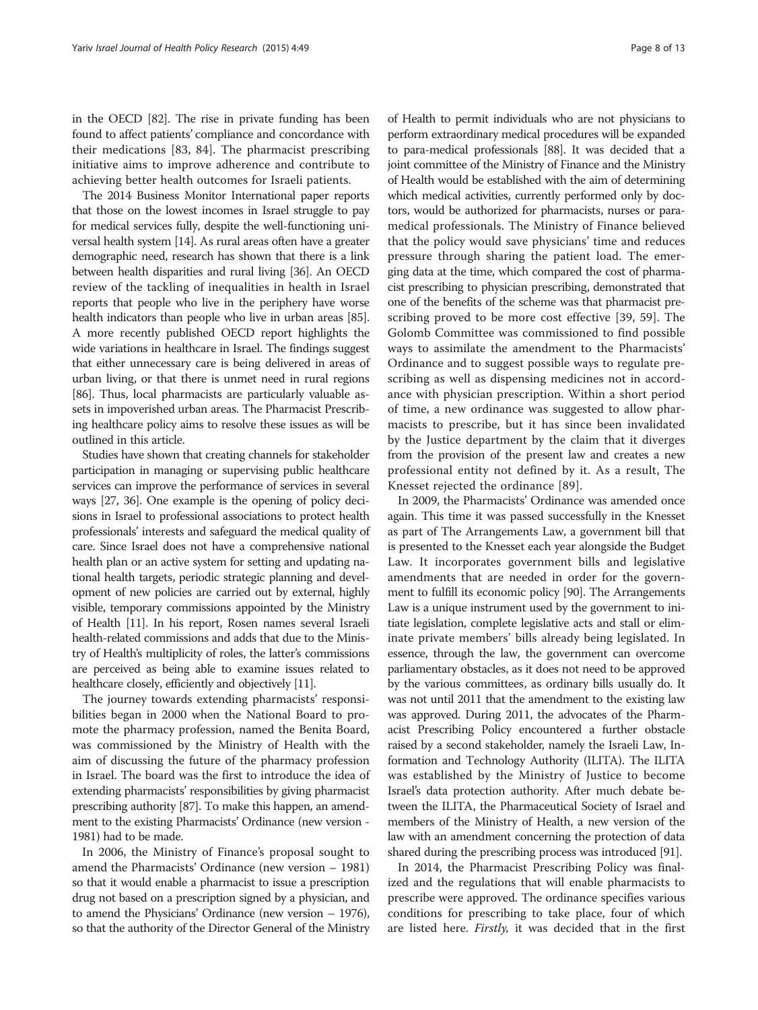in the OECD [\[82\]](#page-12-0). The rise in private funding has been found to affect patients' compliance and concordance with their medications [[83, 84](#page-12-0)]. The pharmacist prescribing initiative aims to improve adherence and contribute to achieving better health outcomes for Israeli patients.

The 2014 Business Monitor International paper reports that those on the lowest incomes in Israel struggle to pay for medical services fully, despite the well-functioning universal health system [\[14\]](#page-10-0). As rural areas often have a greater demographic need, research has shown that there is a link between health disparities and rural living [[36](#page-11-0)]. An OECD review of the tackling of inequalities in health in Israel reports that people who live in the periphery have worse health indicators than people who live in urban areas [[85](#page-12-0)]. A more recently published OECD report highlights the wide variations in healthcare in Israel. The findings suggest that either unnecessary care is being delivered in areas of urban living, or that there is unmet need in rural regions [[86](#page-12-0)]. Thus, local pharmacists are particularly valuable assets in impoverished urban areas. The Pharmacist Prescribing healthcare policy aims to resolve these issues as will be outlined in this article.

Studies have shown that creating channels for stakeholder participation in managing or supervising public healthcare services can improve the performance of services in several ways [\[27](#page-11-0), [36\]](#page-11-0). One example is the opening of policy decisions in Israel to professional associations to protect health professionals' interests and safeguard the medical quality of care. Since Israel does not have a comprehensive national health plan or an active system for setting and updating national health targets, periodic strategic planning and development of new policies are carried out by external, highly visible, temporary commissions appointed by the Ministry of Health [\[11](#page-10-0)]. In his report, Rosen names several Israeli health-related commissions and adds that due to the Ministry of Health's multiplicity of roles, the latter's commissions are perceived as being able to examine issues related to healthcare closely, efficiently and objectively [\[11](#page-10-0)].

The journey towards extending pharmacists' responsibilities began in 2000 when the National Board to promote the pharmacy profession, named the Benita Board, was commissioned by the Ministry of Health with the aim of discussing the future of the pharmacy profession in Israel. The board was the first to introduce the idea of extending pharmacists' responsibilities by giving pharmacist prescribing authority [[87](#page-12-0)]. To make this happen, an amendment to the existing Pharmacists' Ordinance (new version - 1981) had to be made.

In 2006, the Ministry of Finance's proposal sought to amend the Pharmacists' Ordinance (new version – 1981) so that it would enable a pharmacist to issue a prescription drug not based on a prescription signed by a physician, and to amend the Physicians' Ordinance (new version – 1976), so that the authority of the Director General of the Ministry

of Health to permit individuals who are not physicians to perform extraordinary medical procedures will be expanded to para-medical professionals [\[88\]](#page-12-0). It was decided that a joint committee of the Ministry of Finance and the Ministry of Health would be established with the aim of determining which medical activities, currently performed only by doctors, would be authorized for pharmacists, nurses or paramedical professionals. The Ministry of Finance believed that the policy would save physicians' time and reduces pressure through sharing the patient load. The emerging data at the time, which compared the cost of pharmacist prescribing to physician prescribing, demonstrated that one of the benefits of the scheme was that pharmacist prescribing proved to be more cost effective [[39](#page-11-0), [59](#page-11-0)]. The Golomb Committee was commissioned to find possible ways to assimilate the amendment to the Pharmacists' Ordinance and to suggest possible ways to regulate prescribing as well as dispensing medicines not in accordance with physician prescription. Within a short period of time, a new ordinance was suggested to allow pharmacists to prescribe, but it has since been invalidated by the Justice department by the claim that it diverges from the provision of the present law and creates a new professional entity not defined by it. As a result, The Knesset rejected the ordinance [[89](#page-12-0)].

In 2009, the Pharmacists' Ordinance was amended once again. This time it was passed successfully in the Knesset as part of The Arrangements Law, a government bill that is presented to the Knesset each year alongside the Budget Law. It incorporates government bills and legislative amendments that are needed in order for the government to fulfill its economic policy [[90](#page-12-0)]. The Arrangements Law is a unique instrument used by the government to initiate legislation, complete legislative acts and stall or eliminate private members' bills already being legislated. In essence, through the law, the government can overcome parliamentary obstacles, as it does not need to be approved by the various committees, as ordinary bills usually do. It was not until 2011 that the amendment to the existing law was approved. During 2011, the advocates of the Pharmacist Prescribing Policy encountered a further obstacle raised by a second stakeholder, namely the Israeli Law, Information and Technology Authority (ILITA). The ILITA was established by the Ministry of Justice to become Israel's data protection authority. After much debate between the ILITA, the Pharmaceutical Society of Israel and members of the Ministry of Health, a new version of the law with an amendment concerning the protection of data shared during the prescribing process was introduced [\[91\]](#page-12-0).

In 2014, the Pharmacist Prescribing Policy was finalized and the regulations that will enable pharmacists to prescribe were approved. The ordinance specifies various conditions for prescribing to take place, four of which are listed here. *Firstly*, it was decided that in the first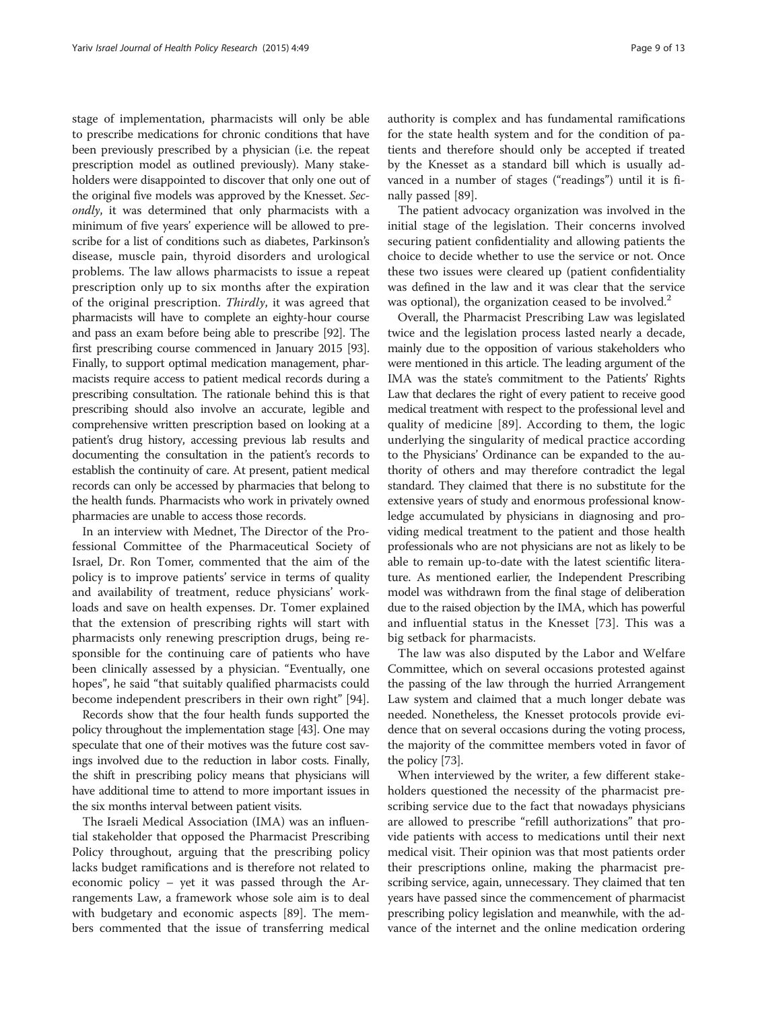stage of implementation, pharmacists will only be able to prescribe medications for chronic conditions that have been previously prescribed by a physician (i.e. the repeat prescription model as outlined previously). Many stakeholders were disappointed to discover that only one out of the original five models was approved by the Knesset. Secondly, it was determined that only pharmacists with a minimum of five years' experience will be allowed to prescribe for a list of conditions such as diabetes, Parkinson's disease, muscle pain, thyroid disorders and urological problems. The law allows pharmacists to issue a repeat prescription only up to six months after the expiration of the original prescription. Thirdly, it was agreed that pharmacists will have to complete an eighty-hour course and pass an exam before being able to prescribe [\[92](#page-12-0)]. The first prescribing course commenced in January 2015 [\[93](#page-12-0)]. Finally, to support optimal medication management, pharmacists require access to patient medical records during a prescribing consultation. The rationale behind this is that prescribing should also involve an accurate, legible and comprehensive written prescription based on looking at a patient's drug history, accessing previous lab results and documenting the consultation in the patient's records to establish the continuity of care. At present, patient medical records can only be accessed by pharmacies that belong to the health funds. Pharmacists who work in privately owned pharmacies are unable to access those records.

In an interview with Mednet, The Director of the Professional Committee of the Pharmaceutical Society of Israel, Dr. Ron Tomer, commented that the aim of the policy is to improve patients' service in terms of quality and availability of treatment, reduce physicians' workloads and save on health expenses. Dr. Tomer explained that the extension of prescribing rights will start with pharmacists only renewing prescription drugs, being responsible for the continuing care of patients who have been clinically assessed by a physician. "Eventually, one hopes", he said "that suitably qualified pharmacists could become independent prescribers in their own right" [\[94\]](#page-12-0).

Records show that the four health funds supported the policy throughout the implementation stage [[43](#page-11-0)]. One may speculate that one of their motives was the future cost savings involved due to the reduction in labor costs. Finally, the shift in prescribing policy means that physicians will have additional time to attend to more important issues in the six months interval between patient visits.

The Israeli Medical Association (IMA) was an influential stakeholder that opposed the Pharmacist Prescribing Policy throughout, arguing that the prescribing policy lacks budget ramifications and is therefore not related to economic policy – yet it was passed through the Arrangements Law, a framework whose sole aim is to deal with budgetary and economic aspects [[89](#page-12-0)]. The members commented that the issue of transferring medical

authority is complex and has fundamental ramifications for the state health system and for the condition of patients and therefore should only be accepted if treated by the Knesset as a standard bill which is usually advanced in a number of stages ("readings") until it is finally passed [[89\]](#page-12-0).

The patient advocacy organization was involved in the initial stage of the legislation. Their concerns involved securing patient confidentiality and allowing patients the choice to decide whether to use the service or not. Once these two issues were cleared up (patient confidentiality was defined in the law and it was clear that the service was optional), the organization ceased to be involved.<sup>2</sup>

Overall, the Pharmacist Prescribing Law was legislated twice and the legislation process lasted nearly a decade, mainly due to the opposition of various stakeholders who were mentioned in this article. The leading argument of the IMA was the state's commitment to the Patients' Rights Law that declares the right of every patient to receive good medical treatment with respect to the professional level and quality of medicine [[89\]](#page-12-0). According to them, the logic underlying the singularity of medical practice according to the Physicians' Ordinance can be expanded to the authority of others and may therefore contradict the legal standard. They claimed that there is no substitute for the extensive years of study and enormous professional knowledge accumulated by physicians in diagnosing and providing medical treatment to the patient and those health professionals who are not physicians are not as likely to be able to remain up-to-date with the latest scientific literature. As mentioned earlier, the Independent Prescribing model was withdrawn from the final stage of deliberation due to the raised objection by the IMA, which has powerful and influential status in the Knesset [[73\]](#page-12-0). This was a big setback for pharmacists.

The law was also disputed by the Labor and Welfare Committee, which on several occasions protested against the passing of the law through the hurried Arrangement Law system and claimed that a much longer debate was needed. Nonetheless, the Knesset protocols provide evidence that on several occasions during the voting process, the majority of the committee members voted in favor of the policy [\[73](#page-12-0)].

When interviewed by the writer, a few different stakeholders questioned the necessity of the pharmacist prescribing service due to the fact that nowadays physicians are allowed to prescribe "refill authorizations" that provide patients with access to medications until their next medical visit. Their opinion was that most patients order their prescriptions online, making the pharmacist prescribing service, again, unnecessary. They claimed that ten years have passed since the commencement of pharmacist prescribing policy legislation and meanwhile, with the advance of the internet and the online medication ordering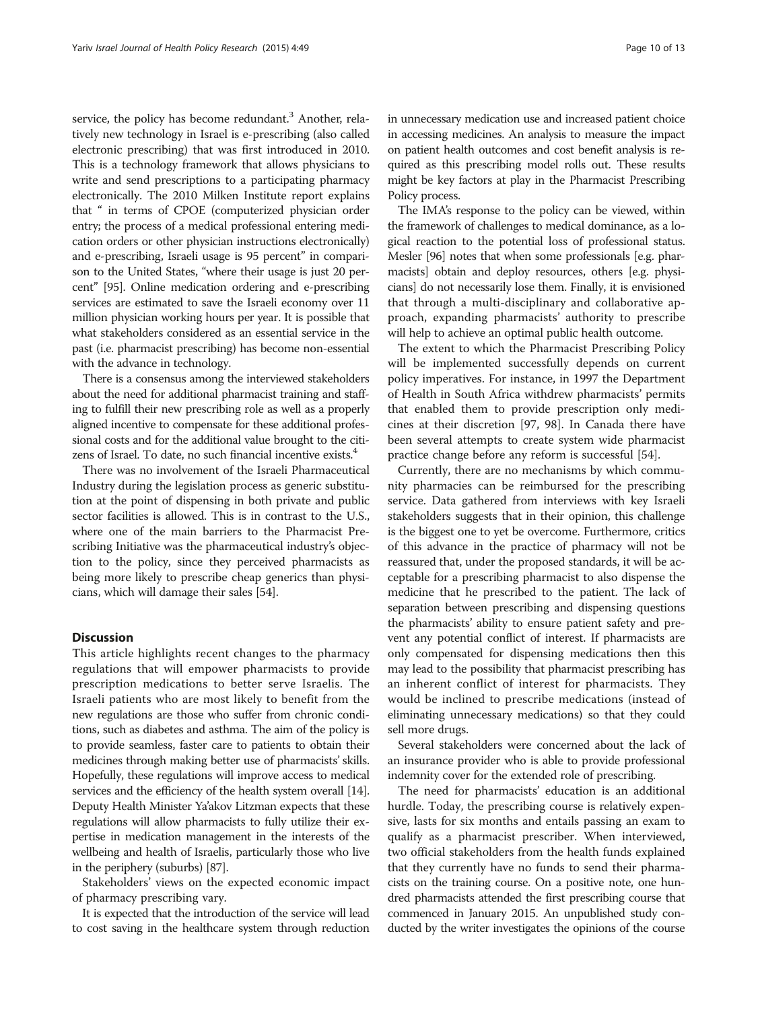service, the policy has become redundant.<sup>3</sup> Another, relatively new technology in Israel is e-prescribing (also called electronic prescribing) that was first introduced in 2010. This is a technology framework that allows physicians to write and send prescriptions to a participating pharmacy electronically. The 2010 Milken Institute report explains that " in terms of CPOE (computerized physician order entry; the process of a medical professional entering medication orders or other physician instructions electronically) and e-prescribing, Israeli usage is 95 percent" in comparison to the United States, "where their usage is just 20 percent" [\[95\]](#page-12-0). Online medication ordering and e-prescribing services are estimated to save the Israeli economy over 11 million physician working hours per year. It is possible that what stakeholders considered as an essential service in the past (i.e. pharmacist prescribing) has become non-essential with the advance in technology.

There is a consensus among the interviewed stakeholders about the need for additional pharmacist training and staffing to fulfill their new prescribing role as well as a properly aligned incentive to compensate for these additional professional costs and for the additional value brought to the citizens of Israel. To date, no such financial incentive exists. $4$ 

There was no involvement of the Israeli Pharmaceutical Industry during the legislation process as generic substitution at the point of dispensing in both private and public sector facilities is allowed. This is in contrast to the U.S., where one of the main barriers to the Pharmacist Prescribing Initiative was the pharmaceutical industry's objection to the policy, since they perceived pharmacists as being more likely to prescribe cheap generics than physicians, which will damage their sales [\[54\]](#page-11-0).

## **Discussion**

This article highlights recent changes to the pharmacy regulations that will empower pharmacists to provide prescription medications to better serve Israelis. The Israeli patients who are most likely to benefit from the new regulations are those who suffer from chronic conditions, such as diabetes and asthma. The aim of the policy is to provide seamless, faster care to patients to obtain their medicines through making better use of pharmacists' skills. Hopefully, these regulations will improve access to medical services and the efficiency of the health system overall [\[14](#page-10-0)]. Deputy Health Minister Ya'akov Litzman expects that these regulations will allow pharmacists to fully utilize their expertise in medication management in the interests of the wellbeing and health of Israelis, particularly those who live in the periphery (suburbs) [\[87\]](#page-12-0).

Stakeholders' views on the expected economic impact of pharmacy prescribing vary.

It is expected that the introduction of the service will lead to cost saving in the healthcare system through reduction in unnecessary medication use and increased patient choice in accessing medicines. An analysis to measure the impact on patient health outcomes and cost benefit analysis is required as this prescribing model rolls out. These results might be key factors at play in the Pharmacist Prescribing Policy process.

The IMA's response to the policy can be viewed, within the framework of challenges to medical dominance, as a logical reaction to the potential loss of professional status. Mesler [[96](#page-12-0)] notes that when some professionals [e.g. pharmacists] obtain and deploy resources, others [e.g. physicians] do not necessarily lose them. Finally, it is envisioned that through a multi-disciplinary and collaborative approach, expanding pharmacists' authority to prescribe will help to achieve an optimal public health outcome.

The extent to which the Pharmacist Prescribing Policy will be implemented successfully depends on current policy imperatives. For instance, in 1997 the Department of Health in South Africa withdrew pharmacists' permits that enabled them to provide prescription only medicines at their discretion [\[97, 98\]](#page-12-0). In Canada there have been several attempts to create system wide pharmacist practice change before any reform is successful [\[54\]](#page-11-0).

Currently, there are no mechanisms by which community pharmacies can be reimbursed for the prescribing service. Data gathered from interviews with key Israeli stakeholders suggests that in their opinion, this challenge is the biggest one to yet be overcome. Furthermore, critics of this advance in the practice of pharmacy will not be reassured that, under the proposed standards, it will be acceptable for a prescribing pharmacist to also dispense the medicine that he prescribed to the patient. The lack of separation between prescribing and dispensing questions the pharmacists' ability to ensure patient safety and prevent any potential conflict of interest. If pharmacists are only compensated for dispensing medications then this may lead to the possibility that pharmacist prescribing has an inherent conflict of interest for pharmacists. They would be inclined to prescribe medications (instead of eliminating unnecessary medications) so that they could sell more drugs.

Several stakeholders were concerned about the lack of an insurance provider who is able to provide professional indemnity cover for the extended role of prescribing.

The need for pharmacists' education is an additional hurdle. Today, the prescribing course is relatively expensive, lasts for six months and entails passing an exam to qualify as a pharmacist prescriber. When interviewed, two official stakeholders from the health funds explained that they currently have no funds to send their pharmacists on the training course. On a positive note, one hundred pharmacists attended the first prescribing course that commenced in January 2015. An unpublished study conducted by the writer investigates the opinions of the course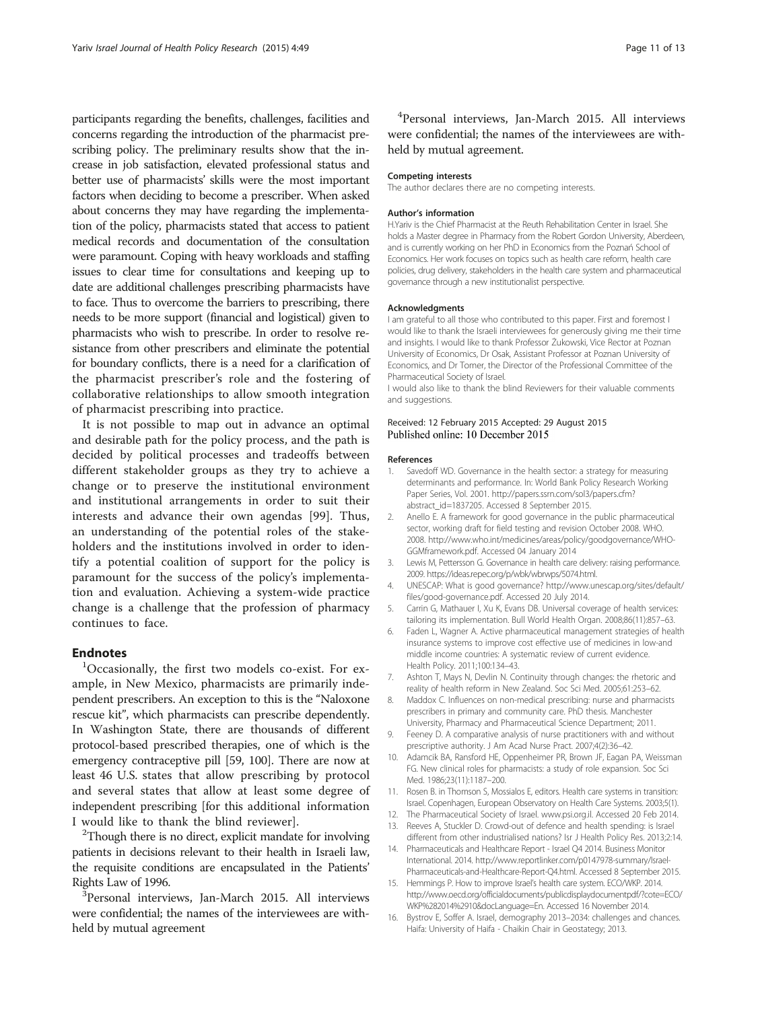<span id="page-10-0"></span>participants regarding the benefits, challenges, facilities and concerns regarding the introduction of the pharmacist prescribing policy. The preliminary results show that the increase in job satisfaction, elevated professional status and better use of pharmacists' skills were the most important factors when deciding to become a prescriber. When asked about concerns they may have regarding the implementation of the policy, pharmacists stated that access to patient medical records and documentation of the consultation were paramount. Coping with heavy workloads and staffing issues to clear time for consultations and keeping up to date are additional challenges prescribing pharmacists have to face. Thus to overcome the barriers to prescribing, there needs to be more support (financial and logistical) given to pharmacists who wish to prescribe. In order to resolve resistance from other prescribers and eliminate the potential for boundary conflicts, there is a need for a clarification of the pharmacist prescriber's role and the fostering of collaborative relationships to allow smooth integration of pharmacist prescribing into practice.

It is not possible to map out in advance an optimal and desirable path for the policy process, and the path is decided by political processes and tradeoffs between different stakeholder groups as they try to achieve a change or to preserve the institutional environment and institutional arrangements in order to suit their interests and advance their own agendas [\[99](#page-12-0)]. Thus, an understanding of the potential roles of the stakeholders and the institutions involved in order to identify a potential coalition of support for the policy is paramount for the success of the policy's implementation and evaluation. Achieving a system-wide practice change is a challenge that the profession of pharmacy continues to face.

# **Endnotes**

Occasionally, the first two models co-exist. For example, in New Mexico, pharmacists are primarily independent prescribers. An exception to this is the "Naloxone rescue kit", which pharmacists can prescribe dependently. In Washington State, there are thousands of different protocol-based prescribed therapies, one of which is the emergency contraceptive pill [\[59,](#page-11-0) [100](#page-12-0)]. There are now at least 46 U.S. states that allow prescribing by protocol and several states that allow at least some degree of independent prescribing [for this additional information I would like to thank the blind reviewer].

<sup>2</sup>Though there is no direct, explicit mandate for involving patients in decisions relevant to their health in Israeli law, the requisite conditions are encapsulated in the Patients' Rights Law of 1996.

Personal interviews, Jan-March 2015. All interviews were confidential; the names of the interviewees are withheld by mutual agreement

4 Personal interviews, Jan-March 2015. All interviews were confidential; the names of the interviewees are withheld by mutual agreement.

#### Competing interests

The author declares there are no competing interests.

#### Author's information

H.Yariv is the Chief Pharmacist at the Reuth Rehabilitation Center in Israel. She holds a Master degree in Pharmacy from the Robert Gordon University, Aberdeen, and is currently working on her PhD in Economics from the Poznań School of Economics. Her work focuses on topics such as health care reform, health care policies, drug delivery, stakeholders in the health care system and pharmaceutical governance through a new institutionalist perspective.

#### Acknowledgments

I am grateful to all those who contributed to this paper. First and foremost I would like to thank the Israeli interviewees for generously giving me their time and insights. I would like to thank Professor Żukowski, Vice Rector at Poznan University of Economics, Dr Osak, Assistant Professor at Poznan University of Economics, and Dr Tomer, the Director of the Professional Committee of the Pharmaceutical Society of Israel.

I would also like to thank the blind Reviewers for their valuable comments and suggestions.

#### Received: 12 February 2015 Accepted: 29 August 2015 Published online: 10 December 2015

#### References

- Savedoff WD. Governance in the health sector: a strategy for measuring determinants and performance. In: World Bank Policy Research Working Paper Series, Vol. 2001. [http://papers.ssrn.com/sol3/papers.cfm?](http://papers.ssrn.com/sol3/papers.cfm?abstract_id=1837205) [abstract\\_id=1837205](http://papers.ssrn.com/sol3/papers.cfm?abstract_id=1837205). Accessed 8 September 2015.
- 2. Anello E. A framework for good governance in the public pharmaceutical sector, working draft for field testing and revision October 2008. WHO. 2008. [http://www.who.int/medicines/areas/policy/goodgovernance/WHO-](http://www.who.int/medicines/areas/policy/goodgovernance/WHO-GGMframework.pdf)[GGMframework.pdf.](http://www.who.int/medicines/areas/policy/goodgovernance/WHO-GGMframework.pdf) Accessed 04 January 2014
- 3. Lewis M, Pettersson G. Governance in health care delivery: raising performance. 2009.<https://ideas.repec.org/p/wbk/wbrwps/5074.html>.
- 4. UNESCAP: What is good governance? [http://www.unescap.org/sites/default/](http://www.unescap.org/sites/default/files/good-governance.pdf) [files/good-governance.pdf.](http://www.unescap.org/sites/default/files/good-governance.pdf) Accessed 20 July 2014.
- 5. Carrin G, Mathauer I, Xu K, Evans DB. Universal coverage of health services: tailoring its implementation. Bull World Health Organ. 2008;86(11):857–63.
- 6. Faden L, Wagner A. Active pharmaceutical management strategies of health insurance systems to improve cost effective use of medicines in low-and middle income countries: A systematic review of current evidence. Health Policy. 2011;100:134–43.
- Ashton T, Mays N, Devlin N. Continuity through changes: the rhetoric and reality of health reform in New Zealand. Soc Sci Med. 2005;61:253–62.
- 8. Maddox C. Influences on non-medical prescribing: nurse and pharmacists prescribers in primary and community care. PhD thesis. Manchester University, Pharmacy and Pharmaceutical Science Department; 2011.
- 9. Feeney D. A comparative analysis of nurse practitioners with and without prescriptive authority. J Am Acad Nurse Pract. 2007;4(2):36–42.
- 10. Adamcik BA, Ransford HE, Oppenheimer PR, Brown JF, Eagan PA, Weissman FG. New clinical roles for pharmacists: a study of role expansion. Soc Sci Med. 1986;23(11):1187–200.
- 11. Rosen B. in Thomson S, Mossialos E, editors. Health care systems in transition: Israel. Copenhagen, European Observatory on Health Care Systems. 2003;5(1).
- 12. The Pharmaceutical Society of Israel. [www.psi.org.il](http://www.psi.org.il/). Accessed 20 Feb 2014. 13. Reeves A, Stuckler D. Crowd-out of defence and health spending: is Israel
- different from other industrialised nations? Isr J Health Policy Res. 2013;2:14. 14. Pharmaceuticals and Healthcare Report - Israel Q4 2014. Business Monitor
- International. 2014. [http://www.reportlinker.com/p0147978-summary/Israel-](http://www.reportlinker.com/p0147978-summary/Israel-Pharmaceuticals-and-Healthcare-Report-Q4.html)[Pharmaceuticals-and-Healthcare-Report-Q4.html](http://www.reportlinker.com/p0147978-summary/Israel-Pharmaceuticals-and-Healthcare-Report-Q4.html). Accessed 8 September 2015.
- 15. Hemmings P. How to improve Israel's health care system. ECO/WKP. 2014. [http://www.oecd.org/officialdocuments/publicdisplaydocumentpdf/?cote=ECO/](http://www.oecd.org/officialdocuments/publicdisplaydocumentpdf/?cote=ECO/WKP%282014%2910&docLanguage=En) [WKP%282014%2910&docLanguage=En.](http://www.oecd.org/officialdocuments/publicdisplaydocumentpdf/?cote=ECO/WKP%282014%2910&docLanguage=En) Accessed 16 November 2014.
- 16. Bystrov E, Soffer A. Israel, demography 2013–2034: challenges and chances. Haifa: University of Haifa - Chaikin Chair in Geostategy; 2013.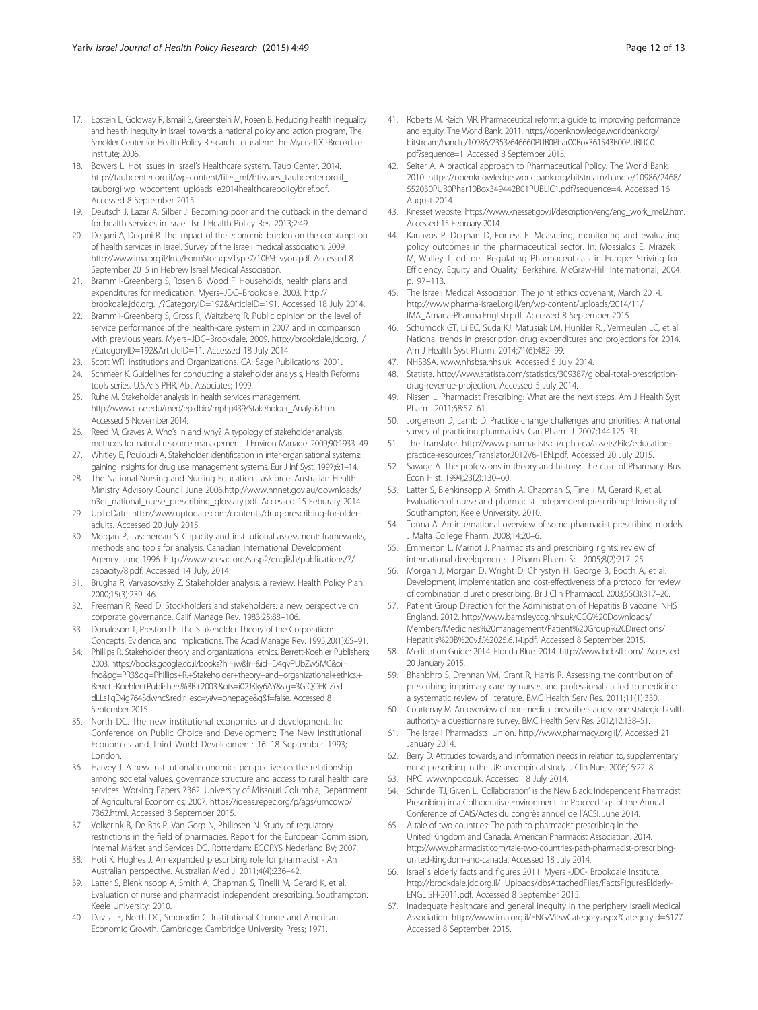- <span id="page-11-0"></span>17. Epstein L, Goldway R, Ismail S, Greenstein M, Rosen B. Reducing health inequality and health inequity in Israel: towards a national policy and action program, The Smokler Center for Health Policy Research. Jerusalem: The Myers-JDC-Brookdale institute; 2006.
- 18. Bowers L. Hot issues in Israel's Healthcare system. Taub Center. 2014. [http://taubcenter.org.il/wp-content/files\\_mf/htissues\\_taubcenter.org.il\\_](http://taubcenter.org.il/wp-content/files_mf/htissues_taubcenter.org.il_tauborgilwp_wpcontent_uploads_e2014healthcarepolicybrief.pdf) [tauborgilwp\\_wpcontent\\_uploads\\_e2014healthcarepolicybrief.pdf.](http://taubcenter.org.il/wp-content/files_mf/htissues_taubcenter.org.il_tauborgilwp_wpcontent_uploads_e2014healthcarepolicybrief.pdf) Accessed 8 September 2015.
- 19. Deutsch J, Lazar A, Silber J. Becoming poor and the cutback in the demand for health services in Israel. Isr J Health Policy Res. 2013;2:49.
- 20. Degani A, Degani R. The impact of the economic burden on the consumption of health services in Israel. Survey of the Israeli medical association; 2009. [http://www.ima.org.il/Ima/FormStorage/Type7/10EShivyon.pdf.](http://www.ima.org.il/Ima/FormStorage/Type7/10EShivyon.pdf) Accessed 8 September 2015 in Hebrew Israel Medical Association.
- 21. Brammli-Greenberg S, Rosen B, Wood F. Households, health plans and expenditures for medication. Myers–JDC–Brookdale. 2003. [http://](http://brookdale.jdc.org.il/?CategoryID=192&ArticleID=191) [brookdale.jdc.org.il/?CategoryID=192&ArticleID=191](http://brookdale.jdc.org.il/?CategoryID=192&ArticleID=191). Accessed 18 July 2014.
- 22. Brammli-Greenberg S, Gross R, Waitzberg R. Public opinion on the level of service performance of the health-care system in 2007 and in comparison with previous years. Myers–JDC–Brookdale. 2009. [http://brookdale.jdc.org.il/](http://brookdale.jdc.org.il/?CategoryID=192&ArticleID=11) [?CategoryID=192&ArticleID=11](http://brookdale.jdc.org.il/?CategoryID=192&ArticleID=11). Accessed 18 July 2014.
- 23. Scott WR. Institutions and Organizations. CA: Sage Publications; 2001.
- 24. Schmeer K. Guidelines for conducting a stakeholder analysis, Health Reforms tools series. U.S.A: S PHR, Abt Associates; 1999.
- 25. Ruhe M. Stakeholder analysis in health services management. [http://www.case.edu/med/epidbio/mphp439/Stakeholder\\_Analysis.htm.](http://www.case.edu/med/epidbio/mphp439/Stakeholder_Analysis.htm) Accessed 5 November 2014.
- 26. Reed M, Graves A. Who's in and why? A typology of stakeholder analysis methods for natural resource management. J Environ Manage. 2009;90:1933–49.
- 27. Whitley E, Pouloudi A. Stakeholder identification in inter-organisational systems: gaining insights for drug use management systems. Eur J Inf Syst. 1997;6:1–14.
- 28. The National Nursing and Nursing Education Taskforce. Australian Health Ministry Advisory Council June 2006[.http://www.nnnet.gov.au/downloads/](http://www.nnnet.gov.au/downloads/n3et_national_nurse_prescribing_glossary.pdf) [n3et\\_national\\_nurse\\_prescribing\\_glossary.pdf](http://www.nnnet.gov.au/downloads/n3et_national_nurse_prescribing_glossary.pdf). Accessed 15 Feburary 2014.
- 29. UpToDate. [http://www.uptodate.com/contents/drug-prescribing-for-older](http://www.uptodate.com/contents/drug-prescribing-for-older-adults)[adults.](http://www.uptodate.com/contents/drug-prescribing-for-older-adults) Accessed 20 July 2015.
- 30. Morgan P, Taschereau S. Capacity and institutional assessment: frameworks, methods and tools for analysis. Canadian International Development Agency. June 1996. [http://www.seesac.org/sasp2/english/publications/7/](http://www.seesac.org/sasp2/english/publications/7/capacity/8.pdf) [capacity/8.pdf.](http://www.seesac.org/sasp2/english/publications/7/capacity/8.pdf) Accessed 14 July, 2014.
- 31. Brugha R, Varvasovszky Z. Stakeholder analysis: a review. Health Policy Plan. 2000;15(3):239–46.
- 32. Freeman R, Reed D. Stockholders and stakeholders: a new perspective on corporate governance. Calif Manage Rev. 1983;25:88–106.
- 33. Donaldson T, Preston LE. The Stakeholder Theory of the Corporation: Concepts, Evidence, and Implications. The Acad Manage Rev. 1995;20(1):65–91.
- 34. Phillips R. Stakeholder theory and organizational ethics. Berrett-Koehler Publishers; 2003. [https://books.google.co.il/books?hl=iw&lr=&id=D4qvPUbZw5MC&oi=](https://books.google.co.il/books?hl=iw&lr=&id=D4qvPUbZw5MC&oi=fnd&pg=PR3&dq=Phillips+R.+Stakeholder+theory+and+organizational+ethics.+Berrett-Koehler+Publishers%3B+2003.&ots=i02JKky6AY&sig=3GfQOHCZeddLLs1qD4g764Sdwnc&redir_esc=y#v=onepage&q&f=false) [fnd&pg=PR3&dq=Phillips+R.+Stakeholder+theory+and+organizational+ethics.+](https://books.google.co.il/books?hl=iw&lr=&id=D4qvPUbZw5MC&oi=fnd&pg=PR3&dq=Phillips+R.+Stakeholder+theory+and+organizational+ethics.+Berrett-Koehler+Publishers%3B+2003.&ots=i02JKky6AY&sig=3GfQOHCZeddLLs1qD4g764Sdwnc&redir_esc=y#v=onepage&q&f=false) [Berrett-Koehler+Publishers%3B+2003.&ots=i02JKky6AY&sig=3GfQOHCZed](https://books.google.co.il/books?hl=iw&lr=&id=D4qvPUbZw5MC&oi=fnd&pg=PR3&dq=Phillips+R.+Stakeholder+theory+and+organizational+ethics.+Berrett-Koehler+Publishers%3B+2003.&ots=i02JKky6AY&sig=3GfQOHCZeddLLs1qD4g764Sdwnc&redir_esc=y#v=onepage&q&f=false) [dLLs1qD4g764Sdwnc&redir\\_esc=y#v=onepage&q&f=false](https://books.google.co.il/books?hl=iw&lr=&id=D4qvPUbZw5MC&oi=fnd&pg=PR3&dq=Phillips+R.+Stakeholder+theory+and+organizational+ethics.+Berrett-Koehler+Publishers%3B+2003.&ots=i02JKky6AY&sig=3GfQOHCZeddLLs1qD4g764Sdwnc&redir_esc=y#v=onepage&q&f=false). Accessed 8 September 2015.
- 35. North DC. The new institutional economics and development. In: Conference on Public Choice and Development: The New Institutional Economics and Third World Development: 16–18 September 1993; London.
- 36. Harvey J. A new institutional economics perspective on the relationship among societal values, governance structure and access to rural health care services. Working Papers 7362. University of Missouri Columbia, Department of Agricultural Economics; 2007. [https://ideas.repec.org/p/ags/umcowp/](https://ideas.repec.org/p/ags/umcowp/7362.html) [7362.html.](https://ideas.repec.org/p/ags/umcowp/7362.html) Accessed 8 September 2015.
- 37. Volkerink B, De Bas P, Van Gorp N, Philipsen N. Study of regulatory restrictions in the field of pharmacies. Report for the European Commission, Internal Market and Services DG. Rotterdam: ECORYS Nederland BV; 2007.
- 38. Hoti K, Hughes J. An expanded prescribing role for pharmacist An Australian perspective. Australian Med J. 2011;4(4):236–42.
- 39. Latter S, Blenkinsopp A, Smith A, Chapman S, Tinelli M, Gerard K, et al. Evaluation of nurse and pharmacist independent prescribing. Southampton: Keele University; 2010.
- 40. Davis LE, North DC, Smorodin C. Institutional Change and American Economic Growth. Cambridge: Cambridge University Press; 1971.
- 41. Roberts M, Reich MR. Pharmaceutical reform: a guide to improving performance and equity. The World Bank. 2011. [https://openknowledge.worldbank.org/](https://openknowledge.worldbank.org/bitstream/handle/10986/2353/646660PUB0Phar00Box361543B00PUBLIC0.pdf?sequence=1) [bitstream/handle/10986/2353/646660PUB0Phar00Box361543B00PUBLIC0.](https://openknowledge.worldbank.org/bitstream/handle/10986/2353/646660PUB0Phar00Box361543B00PUBLIC0.pdf?sequence=1) [pdf?sequence=1](https://openknowledge.worldbank.org/bitstream/handle/10986/2353/646660PUB0Phar00Box361543B00PUBLIC0.pdf?sequence=1). Accessed 8 September 2015.
- 42. Seiter A. A practical approach to Pharmaceutical Policy. The World Bank. 2010. [https://openknowledge.worldbank.org/bitstream/handle/10986/2468/](https://openknowledge.worldbank.org/bitstream/handle/10986/2468/552030PUB0Phar10Box349442B01PUBLIC1.pdf?sequence=4) [552030PUB0Phar10Box349442B01PUBLIC1.pdf?sequence=4.](https://openknowledge.worldbank.org/bitstream/handle/10986/2468/552030PUB0Phar10Box349442B01PUBLIC1.pdf?sequence=4) Accessed 16 August 2014.
- 43. Knesset website. [https://www.knesset.gov.il/description/eng/eng\\_work\\_mel2.htm](https://www.knesset.gov.il/description/eng/eng_work_mel2.htm). Accessed 15 February 2014.
- 44. Kanavos P, Degnan D, Fortess E. Measuring, monitoring and evaluating policy outcomes in the pharmaceutical sector. In: Mossialos E, Mrazek M, Walley T, editors. Regulating Pharmaceuticals in Europe: Striving for Efficiency, Equity and Quality. Berkshire: McGraw-Hill International; 2004. p. 97–113.
- 45. The Israeli Medical Association. The joint ethics covenant, March 2014. [http://www.pharma-israel.org.il/en/wp-content/uploads/2014/11/](http://www.pharma-israel.org.il/en/wp-content/uploads/2014/11/IMA_Amana-Pharma.English.pdf) [IMA\\_Amana-Pharma.English.pdf](http://www.pharma-israel.org.il/en/wp-content/uploads/2014/11/IMA_Amana-Pharma.English.pdf). Accessed 8 September 2015.
- 46. Schumock GT, Li EC, Suda KJ, Matusiak LM, Hunkler RJ, Vermeulen LC, et al. National trends in prescription drug expenditures and projections for 2014. Am J Health Syst Pharm. 2014;71(6):482–99.
- 47. NHSBSA. [www.nhsbsa.nhs.uk.](http://www.nhsbsa.nhs.uk) Accessed 5 July 2014.
- 48. Statista. [http://www.statista.com/statistics/309387/global-total-prescription](http://www.statista.com/statistics/309387/global-total-prescription-drug-revenue-projection)[drug-revenue-projection](http://www.statista.com/statistics/309387/global-total-prescription-drug-revenue-projection). Accessed 5 July 2014.
- 49. Nissen L. Pharmacist Prescribing: What are the next steps. Am J Health Syst Pharm. 2011;68:57–61.
- 50. Jorgenson D, Lamb D. Practice change challenges and priorities: A national survey of practicing pharmacists. Can Pharm J. 2007;144:125–31.
- 51. The Translator. [http://www.pharmacists.ca/cpha-ca/assets/File/education](http://www.pharmacists.ca/cpha-ca/assets/File/education-practice-resources/Translator2012V6-1EN.pdf)[practice-resources/Translator2012V6-1EN.pdf.](http://www.pharmacists.ca/cpha-ca/assets/File/education-practice-resources/Translator2012V6-1EN.pdf) Accessed 20 July 2015.
- 52. Savage A. The professions in theory and history: The case of Pharmacy. Bus Econ Hist. 1994;23(2):130–60.
- 53. Latter S, Blenkinsopp A, Smith A, Chapman S, Tinelli M, Gerard K, et al. Evaluation of nurse and pharmacist independent prescribing: University of Southampton; Keele University. 2010.
- 54. Tonna A. An international overview of some pharmacist prescribing models. J Malta College Pharm. 2008;14:20–6.
- 55. Emmerton L, Marriot J. Pharmacists and prescribing rights: review of international developments. J Pharm Pharm Sci. 2005;8(2):217–25.
- 56. Morgan J, Morgan D, Wright D, Chrystyn H, George B, Booth A, et al. Development, implementation and cost-effectiveness of a protocol for review of combination diuretic prescribing. Br J Clin Pharmacol. 2003;55(3):317–20.
- Patient Group Direction for the Administration of Hepatitis B vaccine. NHS England. 2012. [http://www.barnsleyccg.nhs.uk/CCG%20Downloads/](http://www.barnsleyccg.nhs.uk/CCG%20Downloads/Members/Medicines%20management/Patient%20Group%20Directions/Hepatitis%20B%20v.f.%2025.6.14.pdf) [Members/Medicines%20management/Patient%20Group%20Directions/](http://www.barnsleyccg.nhs.uk/CCG%20Downloads/Members/Medicines%20management/Patient%20Group%20Directions/Hepatitis%20B%20v.f.%2025.6.14.pdf) [Hepatitis%20B%20v.f.%2025.6.14.pdf.](http://www.barnsleyccg.nhs.uk/CCG%20Downloads/Members/Medicines%20management/Patient%20Group%20Directions/Hepatitis%20B%20v.f.%2025.6.14.pdf) Accessed 8 September 2015.
- 58. Medication Guide: 2014. Florida Blue. 2014.<http://www.bcbsfl.com/>. Accessed 20 January 2015.
- 59. Bhanbhro S, Drennan VM, Grant R, Harris R. Assessing the contribution of prescribing in primary care by nurses and professionals allied to medicine: a systematic review of literature. BMC Health Serv Res. 2011;11(1):330.
- 60. Courtenay M. An overview of non-medical prescribers across one strategic health authority- a questionnaire survey. BMC Health Serv Res. 2012;12:138–51.
- 61. The Israeli Pharmacists' Union. [http://www.pharmacy.org.il/.](http://www.pharmacy.org.il/) Accessed 21 January 2014.
- 62. Berry D. Attitudes towards, and information needs in relation to, supplementary nurse prescribing in the UK: an empirical study. J Clin Nurs. 2006;15:22–8.
- 63. NPC. [www.npc.co.uk](http://www.npc.co.uk/). Accessed 18 July 2014.
- 64. Schindel TJ, Given L. 'Collaboration' is the New Black: Independent Pharmacist Prescribing in a Collaborative Environment. In: Proceedings of the Annual Conference of CAIS/Actes du congrès annuel de l'ACSI. June 2014.
- 65. A tale of two countries: The path to pharmacist prescribing in the United Kingdom and Canada. American Pharmacist Association. 2014. [http://www.pharmacist.com/tale-two-countries-path-pharmacist-prescribing](http://www.pharmacist.com/tale-two-countries-path-pharmacist-prescribing-united-kingdom-and-canada)[united-kingdom-and-canada.](http://www.pharmacist.com/tale-two-countries-path-pharmacist-prescribing-united-kingdom-and-canada) Accessed 18 July 2014.
- 66. Israel`s elderly facts and figures 2011. Myers -JDC- Brookdale Institute. [http://brookdale.jdc.org.il/\\_Uploads/dbsAttachedFiles/FactsFiguresElderly-](http://brookdale.jdc.org.il/_Uploads/dbsAttachedFiles/FactsFiguresElderly-ENGLISH-2011.pdf)[ENGLISH-2011.pdf.](http://brookdale.jdc.org.il/_Uploads/dbsAttachedFiles/FactsFiguresElderly-ENGLISH-2011.pdf) Accessed 8 September 2015.
- 67. Inadequate healthcare and general inequity in the periphery Israeli Medical Association. [http://www.ima.org.il/ENG/ViewCategory.aspx?CategoryId=6177.](http://www.ima.org.il/ENG/ViewCategory.aspx?CategoryId=6177) Accessed 8 September 2015.